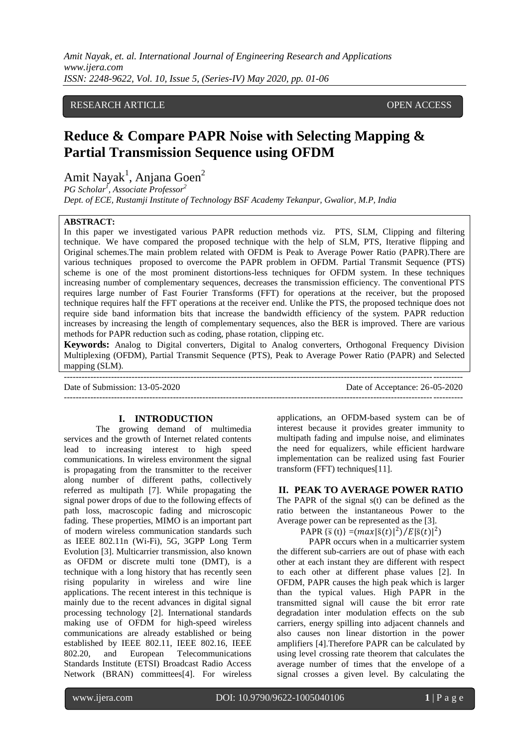## RESEARCH ARTICLE **OPEN ACCESS**

# **Reduce & Compare PAPR Noise with Selecting Mapping & Partial Transmission Sequence using OFDM**

Amit Nayak<sup>1</sup>, Anjana Goen<sup>2</sup>

*PG Scholar<sup>1</sup> , Associate Professor<sup>2</sup> Dept. of ECE, Rustamji Institute of Technology BSF Academy Tekanpur, Gwalior, M.P, India*

#### **ABSTRACT:**

In this paper we investigated various PAPR reduction methods viz. PTS, SLM, Clipping and filtering technique. We have compared the proposed technique with the help of SLM, PTS, Iterative flipping and Original schemes.The main problem related with OFDM is Peak to Average Power Ratio (PAPR).There are various techniques proposed to overcome the PAPR problem in OFDM. Partial Transmit Sequence (PTS) scheme is one of the most prominent distortions-less techniques for OFDM system. In these techniques increasing number of complementary sequences, decreases the transmission efficiency. The conventional PTS requires large number of Fast Fourier Transforms (FFT) for operations at the receiver, but the proposed technique requires half the FFT operations at the receiver end. Unlike the PTS, the proposed technique does not require side band information bits that increase the bandwidth efficiency of the system. PAPR reduction increases by increasing the length of complementary sequences, also the BER is improved. There are various methods for PAPR reduction such as coding, phase rotation, clipping etc.

**Keywords:** Analog to Digital converters, Digital to Analog converters, Orthogonal Frequency Division Multiplexing (OFDM), Partial Transmit Sequence (PTS), Peak to Average Power Ratio (PAPR) and Selected mapping (SLM).

| Date of Submission: $13-05-2020$ | Date of Acceptance: 26-05-2020 |
|----------------------------------|--------------------------------|
|                                  |                                |

## **I. INTRODUCTION**

The growing demand of multimedia services and the growth of Internet related contents lead to increasing interest to high speed communications. In wireless environment the signal is propagating from the transmitter to the receiver along number of different paths, collectively referred as multipath [7]. While propagating the signal power drops of due to the following effects of path loss, macroscopic fading and microscopic fading. These properties, MIMO is an important part of modern wireless communication standards such as IEEE 802.11n (Wi-Fi), 5G, 3GPP Long Term Evolution [3]. Multicarrier transmission, also known as OFDM or discrete multi tone (DMT), is a technique with a long history that has recently seen rising popularity in wireless and wire line applications. The recent interest in this technique is mainly due to the recent advances in digital signal processing technology [2]. International standards making use of OFDM for high-speed wireless communications are already established or being established by IEEE 802.11, IEEE 802.16, IEEE 802.20, and European Telecommunications Standards Institute (ETSI) Broadcast Radio Access Network (BRAN) committees[4]. For wireless

applications, an OFDM-based system can be of interest because it provides greater immunity to multipath fading and impulse noise, and eliminates the need for equalizers, while efficient hardware implementation can be realized using fast Fourier transform (FFT) techniques[11].

## **II. PEAK TO AVERAGE POWER RATIO**

The PAPR of the signal s(t) can be defined as the ratio between the instantaneous Power to the Average power can be represented as the [3].

PAPR { $\bar{s}(t)$ } = $(max|\bar{s}(t)|^2)/E|\bar{s}(t)|^2)$ 

PAPR occurs when in a multicarrier system the different sub-carriers are out of phase with each other at each instant they are different with respect to each other at different phase values [2]. In OFDM, PAPR causes the high peak which is larger than the typical values. High PAPR in the transmitted signal will cause the bit error rate degradation inter modulation effects on the sub carriers, energy spilling into adjacent channels and also causes non linear distortion in the power amplifiers [4].Therefore PAPR can be calculated by using level crossing rate theorem that calculates the average number of times that the envelope of a signal crosses a given level. By calculating the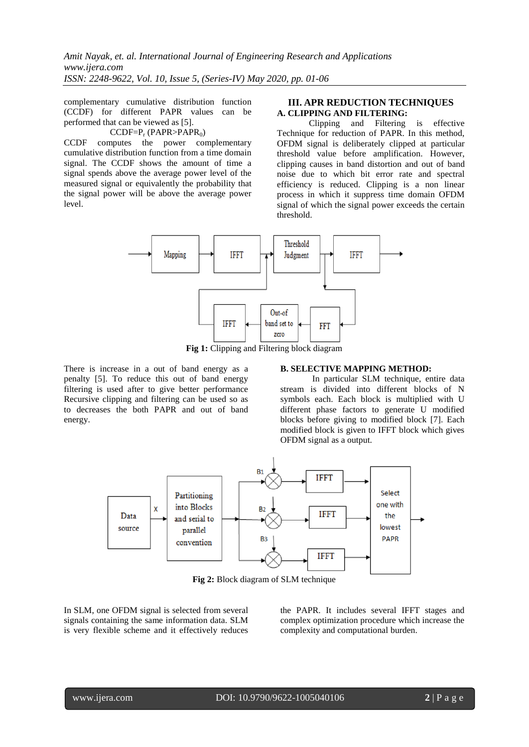complementary cumulative distribution function (CCDF) for different PAPR values can be performed that can be viewed as [5].

#### $CCDF=P_r (PAPR > PAPR_0)$

CCDF computes the power complementary cumulative distribution function from a time domain signal. The CCDF shows the amount of time a signal spends above the average power level of the measured signal or equivalently the probability that the signal power will be above the average power level.

#### **III. APR REDUCTION TECHNIQUES A. CLIPPING AND FILTERING:**

Clipping and Filtering is effective Technique for reduction of PAPR. In this method, OFDM signal is deliberately clipped at particular threshold value before amplification. However, clipping causes in band distortion and out of band noise due to which bit error rate and spectral efficiency is reduced. Clipping is a non linear process in which it suppress time domain OFDM signal of which the signal power exceeds the certain threshold.



**Fig 1:** Clipping and Filtering block diagram

There is increase in a out of band energy as a penalty [5]. To reduce this out of band energy filtering is used after to give better performance Recursive clipping and filtering can be used so as to decreases the both PAPR and out of band energy.

#### **B. SELECTIVE MAPPING METHOD:**

In particular SLM technique, entire data stream is divided into different blocks of N symbols each. Each block is multiplied with U different phase factors to generate U modified blocks before giving to modified block [7]. Each modified block is given to IFFT block which gives OFDM signal as a output.



**Fig 2:** Block diagram of SLM technique

In SLM, one OFDM signal is selected from several signals containing the same information data. SLM is very flexible scheme and it effectively reduces the PAPR. It includes several IFFT stages and complex optimization procedure which increase the complexity and computational burden.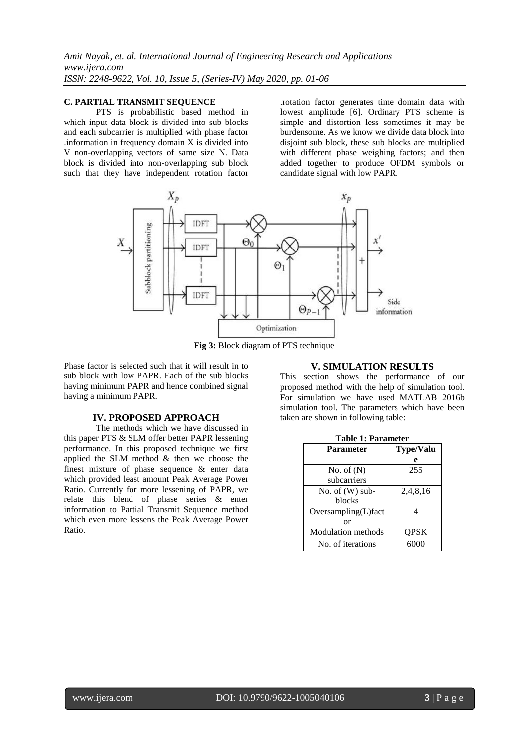*Amit Nayak, et. al. International Journal of Engineering Research and Applications www.ijera.com ISSN: 2248-9622, Vol. 10, Issue 5, (Series-IV) May 2020, pp. 01-06*

### **C. PARTIAL TRANSMIT SEQUENCE**

PTS is probabilistic based method in which input data block is divided into sub blocks and each subcarrier is multiplied with phase factor .information in frequency domain X is divided into V non-overlapping vectors of same size N. Data block is divided into non-overlapping sub block such that they have independent rotation factor

.rotation factor generates time domain data with lowest amplitude [6]. Ordinary PTS scheme is simple and distortion less sometimes it may be burdensome. As we know we divide data block into disjoint sub block, these sub blocks are multiplied with different phase weighing factors; and then added together to produce OFDM symbols or candidate signal with low PAPR.



**Fig 3:** Block diagram of PTS technique

Phase factor is selected such that it will result in to sub block with low PAPR. Each of the sub blocks having minimum PAPR and hence combined signal having a minimum PAPR.

#### **IV. PROPOSED APPROACH**

The methods which we have discussed in this paper PTS & SLM offer better PAPR lessening performance. In this proposed technique we first applied the SLM method & then we choose the finest mixture of phase sequence & enter data which provided least amount Peak Average Power Ratio. Currently for more lessening of PAPR, we relate this blend of phase series & enter information to Partial Transmit Sequence method which even more lessens the Peak Average Power Ratio.

#### **V. SIMULATION RESULTS**

This section shows the performance of our proposed method with the help of simulation tool. For simulation we have used MATLAB 2016b simulation tool. The parameters which have been taken are shown in following table:

| <b>Table 1: Parameter</b> |                  |  |  |
|---------------------------|------------------|--|--|
| <b>Parameter</b>          | <b>Type/Valu</b> |  |  |
|                           | e                |  |  |
| No. of $(N)$              | 255              |  |  |
| subcarriers               |                  |  |  |
| No. of $(W)$ sub-         | 2,4,8,16         |  |  |
| blocks                    |                  |  |  |
| $Oversampling(L)$ fact    | Δ                |  |  |
| or                        |                  |  |  |
| <b>Modulation</b> methods | OPSK             |  |  |
| No. of iterations         | 6000             |  |  |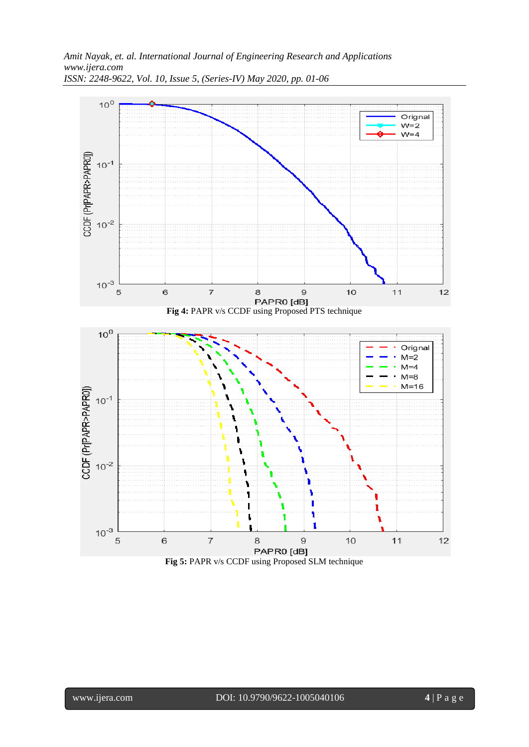

*ISSN: 2248-9622, Vol. 10, Issue 5, (Series-IV) May 2020, pp. 01-06*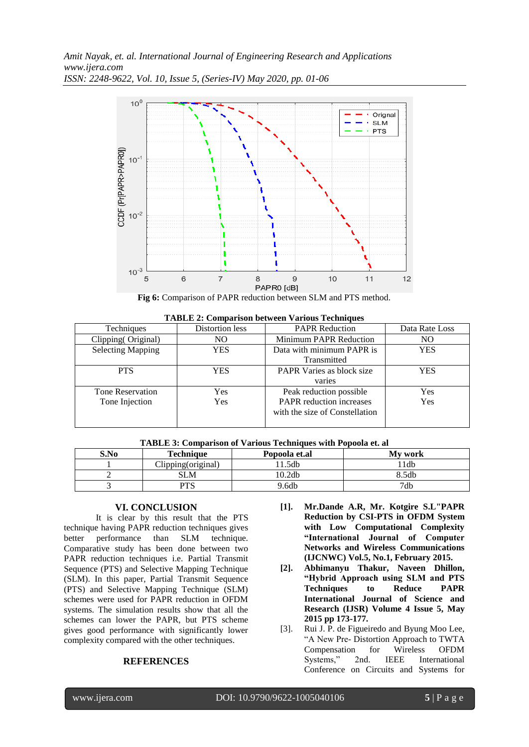

|  |  |  |  |  |  | <b>TABLE 2: Comparison between Various Techniques</b> |
|--|--|--|--|--|--|-------------------------------------------------------|
|--|--|--|--|--|--|-------------------------------------------------------|

| Techniques               | Distortion less | <b>PAPR Reduction</b>            | Data Rate Loss |
|--------------------------|-----------------|----------------------------------|----------------|
| Clipping (Original)      | NO.             | <b>Minimum PAPR Reduction</b>    | NO             |
| <b>Selecting Mapping</b> | <b>YES</b>      | Data with minimum PAPR is        | <b>YES</b>     |
|                          |                 | Transmitted                      |                |
| <b>PTS</b>               | YES             | <b>PAPR Varies as block size</b> | <b>YES</b>     |
|                          |                 | varies                           |                |
| <b>Tone Reservation</b>  | Yes             | Peak reduction possible          | <b>Yes</b>     |
| Tone Injection           | Yes             | PAPR reduction increases         | Yes            |
|                          |                 | with the size of Constellation   |                |
|                          |                 |                                  |                |

| -------<br>. |                    |               |         |  |
|--------------|--------------------|---------------|---------|--|
| S.No         | Technique          | Popoola et.al | My work |  |
|              | Clipping(original) | .5db          | l 1db   |  |
|              | SLM                | 10.2db        | 8.5db   |  |
|              | PTS                | 9.6db         | 7db     |  |

## **TABLE 3: Comparison of Various Techniques with Popoola et. al**

#### **VI. CONCLUSION**

It is clear by this result that the PTS technique having PAPR reduction techniques gives better performance than SLM technique. Comparative study has been done between two PAPR reduction techniques i.e. Partial Transmit Sequence (PTS) and Selective Mapping Technique (SLM). In this paper, Partial Transmit Sequence (PTS) and Selective Mapping Technique (SLM) schemes were used for PAPR reduction in OFDM systems. The simulation results show that all the schemes can lower the PAPR, but PTS scheme gives good performance with significantly lower complexity compared with the other techniques.

#### **REFERENCES**

- **[1]. Mr.Dande A.R, Mr. Kotgire S.L"PAPR Reduction by CSI-PTS in OFDM System with Low Computational Complexity "International Journal of Computer Networks and Wireless Communications (IJCNWC) Vol.5, No.1, February 2015.**
- **[2]. Abhimanyu Thakur, Naveen Dhillon, "Hybrid Approach using SLM and PTS Techniques to Reduce PAPR International Journal of Science and Research (IJSR) Volume 4 Issue 5, May 2015 pp 173-177.**
- [3]. Rui J. P. de Figueiredo and Byung Moo Lee, "A New Pre- Distortion Approach to TWTA Compensation for Wireless OFDM Systems," 2nd. IEEE International Conference on Circuits and Systems for